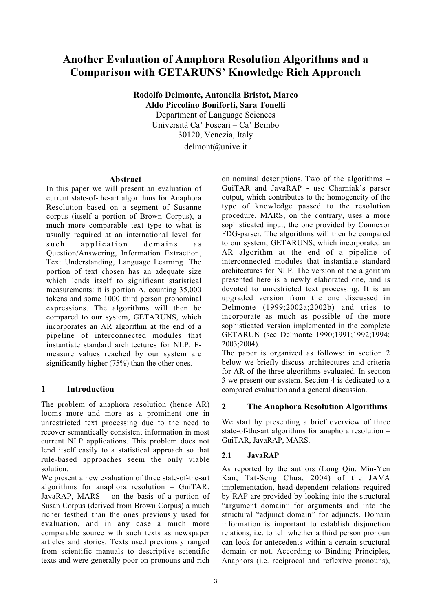# Another Evaluation of Anaphora Resolution Algorithms and a Comparison with GETARUNS' Knowledge Rich Approach

Rodolfo Delmonte, Antonella Bristot, Marco Aldo Piccolino Boniforti, Sara Tonelli

Department of Language Sciences Università Ca' Foscari – Ca' Bembo 30120, Venezia, Italy delmont@unive.it

#### Abstract

In this paper we will present an evaluation of current state-of-the-art algorithms for Anaphora Resolution based on a segment of Susanne corpus (itself a portion of Brown Corpus), a much more comparable text type to what is usually required at an international level for such application domains as Question/Answering, Information Extraction, Text Understanding, Language Learning. The portion of text chosen has an adequate size which lends itself to significant statistical measurements: it is portion A, counting 35,000 tokens and some 1000 third person pronominal expressions. The algorithms will then be compared to our system, GETARUNS, which incorporates an AR algorithm at the end of a pipeline of interconnected modules that instantiate standard architectures for NLP. Fmeasure values reached by our system are significantly higher (75%) than the other ones.

# 1 Introduction

The problem of anaphora resolution (hence AR) looms more and more as a prominent one in unrestricted text processing due to the need to recover semantically consistent information in most current NLP applications. This problem does not lend itself easily to a statistical approach so that rule-based approaches seem the only viable solution.

We present a new evaluation of three state-of-the-art algorithms for anaphora resolution – GuiTAR, JavaRAP, MARS – on the basis of a portion of Susan Corpus (derived from Brown Corpus) a much richer testbed than the ones previously used for evaluation, and in any case a much more comparable source with such texts as newspaper articles and stories. Texts used previously ranged from scientific manuals to descriptive scientific texts and were generally poor on pronouns and rich on nominal descriptions. Two of the algorithms – GuiTAR and JavaRAP - use Charniak's parser output, which contributes to the homogeneity of the type of knowledge passed to the resolution procedure. MARS, on the contrary, uses a more sophisticated input, the one provided by Connexor FDG-parser. The algorithms will then be compared to our system, GETARUNS, which incorporated an AR algorithm at the end of a pipeline of interconnected modules that instantiate standard architectures for NLP. The version of the algorithm presented here is a newly elaborated one, and is devoted to unrestricted text processing. It is an upgraded version from the one discussed in Delmonte (1999;2002a;2002b) and tries to incorporate as much as possible of the more sophisticated version implemented in the complete GETARUN (see Delmonte 1990;1991;1992;1994; 2003;2004).

The paper is organized as follows: in section 2 below we briefly discuss architectures and criteria for AR of the three algorithms evaluated. In section 3 we present our system. Section 4 is dedicated to a compared evaluation and a general discussion.

# 2 The Anaphora Resolution Algorithms

We start by presenting a brief overview of three state-of-the-art algorithms for anaphora resolution – GuiTAR, JavaRAP, MARS.

# 2.1 JavaRAP

As reported by the authors (Long Qiu, Min-Yen Kan, Tat-Seng Chua, 2004) of the JAVA implementation, head-dependent relations required by RAP are provided by looking into the structural "argument domain" for arguments and into the structural "adjunct domain" for adjuncts. Domain information is important to establish disjunction relations, i.e. to tell whether a third person pronoun can look for antecedents within a certain structural domain or not. According to Binding Principles, Anaphors (i.e. reciprocal and reflexive pronouns),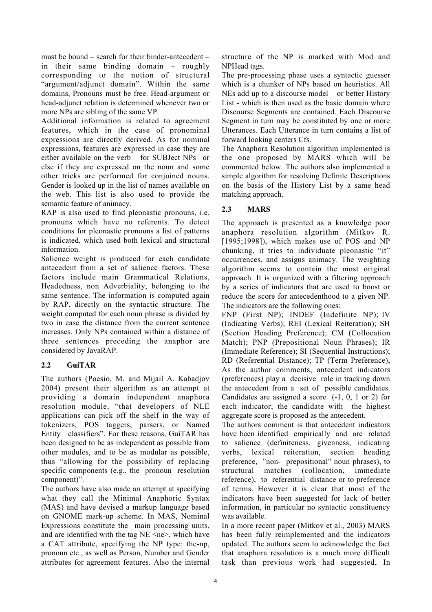must be bound – search for their binder-antecedent – in their same binding domain – roughly corresponding to the notion of structural "argument/adjunct domain". Within the same domains, Pronouns must be free. Head-argument or head-adjunct relation is determined whenever two or more NPs are sibling of the same VP.

Additional information is related to agreement features, which in the case of pronominal expressions are directly derived. As for nominal expressions, features are expressed in case they are either available on the verb – for SUBJect NPs– or else if they are expressed on the noun and some other tricks are performed for conjoined nouns. Gender is looked up in the list of names available on the web. This list is also used to provide the semantic feature of animacy.

RAP is also used to find pleonastic pronouns, i.e. pronouns which have no referents. To detect conditions for pleonastic pronouns a list of patterns is indicated, which used both lexical and structural information.

Salience weight is produced for each candidate antecedent from a set of salience factors. These factors include main Grammatical Relations, Headedness, non Adverbiality, belonging to the same sentence. The information is computed again by RAP, directly on the syntactic structure. The weight computed for each noun phrase is divided by two in case the distance from the current sentence increases. Only NPs contained within a distance of three sentences preceding the anaphor are considered by JavaRAP.

# 2.2 GuiTAR

The authors (Poesio, M. and Mijail A. Kabadjov 2004) present their algorithm as an attempt at providing a domain independent anaphora resolution module, "that developers of NLE applications can pick off the shelf in the way of tokenizers, POS taggers, parsers, or Named Entity classifiers". For these reasons, GuiTAR has been designed to be as independent as possible from other modules, and to be as modular as possible, thus "allowing for the possibility of replacing specific components (e.g., the pronoun resolution component)".

The authors have also made an attempt at specifying what they call the Minimal Anaphoric Syntax (MAS) and have devised a markup language based on GNOME mark-up scheme. In MAS, Nominal Expressions constitute the main processing units, and are identified with the tag  $NE \leq ne$ , which have a CAT attribute, specifying the NP type: the-np, pronoun etc., as well as Person, Number and Gender attributes for agreement features. Also the internal structure of the NP is marked with Mod and NPHead tags.

The pre-processing phase uses a syntactic guesser which is a chunker of NPs based on heuristics. All NEs add up to a discourse model – or better History List - which is then used as the basic domain where Discourse Segments are contained. Each Discourse Segment in turn may be constituted by one or more Utterances. Each Utterance in turn contains a list of forward looking centers Cfs.

The Anaphora Resolution algorithm implemented is the one proposed by MARS which will be commented below. The authors also implemented a simple algorithm for resolving Definite Descriptions on the basis of the History List by a same head matching approach.

#### 2.3 MARS

The approach is presented as a knowledge poor anaphora resolution algorithm (Mitkov R. [1995;1998]), which makes use of POS and NP chunking, it tries to individuate pleonastic "it" occurrences, and assigns animacy. The weighting algorithm seems to contain the most original approach. It is organized with a filtering approach by a series of indicators that are used to boost or reduce the score for antecedenthood to a given NP. The indicators are the following ones:

FNP (First NP); INDEF (Indefinite NP); IV (Indicating Verbs); REI (Lexical Reiteration); SH (Section Heading Preference); CM (Collocation Match); PNP (Prepositional Noun Phrases); IR (Immediate Reference); SI (Sequential Instructions); RD (Referential Distance); TP (Term Preference), As the author comments, antecedent indicators (preferences) play a decisive role in tracking down the antecedent from a set of possible candidates. Candidates are assigned a score (-1, 0, 1 or 2) for each indicator; the candidate with the highest aggregate score is proposed as the antecedent.

The authors comment is that antecedent indicators have been identified empirically and are related to salience (definiteness, givenness, indicating verbs, lexical reiteration, section heading preference, "non- prepositional" noun phrases), to structural matches (collocation, immediate reference), to referential distance or to preference of terms. However it is clear that most of the indicators have been suggested for lack of better information, in particular no syntactic constituency was available.

In a more recent paper (Mitkov et al., 2003) MARS has been fully reimplemented and the indicators updated. The authors seem to acknowledge the fact that anaphora resolution is a much more difficult task than previous work had suggested, In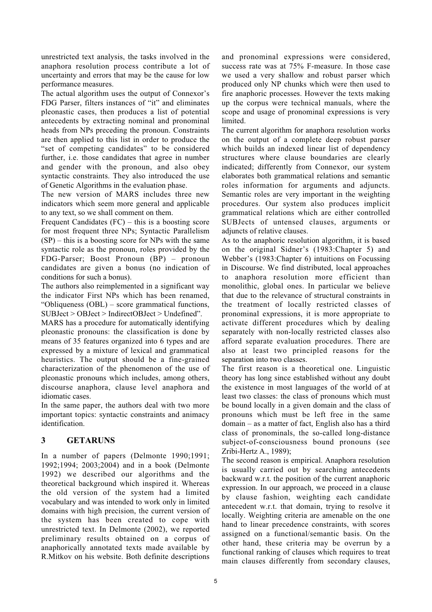unrestricted text analysis, the tasks involved in the anaphora resolution process contribute a lot of uncertainty and errors that may be the cause for low performance measures.

The actual algorithm uses the output of Connexor's FDG Parser, filters instances of "it" and eliminates pleonastic cases, then produces a list of potential antecedents by extracting nominal and pronominal heads from NPs preceding the pronoun. Constraints are then applied to this list in order to produce the "set of competing candidates" to be considered further, i.e. those candidates that agree in number and gender with the pronoun, and also obey syntactic constraints. They also introduced the use of Genetic Algorithms in the evaluation phase.

The new version of MARS includes three new indicators which seem more general and applicable to any text, so we shall comment on them.

Frequent Candidates (FC) – this is a boosting score for most frequent three NPs; Syntactic Parallelism  $(SP)$  – this is a boosting score for NPs with the same syntactic role as the pronoun, roles provided by the FDG-Parser; Boost Pronoun (BP) – pronoun candidates are given a bonus (no indication of conditions for such a bonus).

The authors also reimplemented in a significant way the indicator First NPs which has been renamed, "Obliqueness (OBL) – score grammatical functions, SUBJect > OBJect > IndirectOBJect > Undefined".

MARS has a procedure for automatically identifying pleonastic pronouns: the classification is done by means of 35 features organized into 6 types and are expressed by a mixture of lexical and grammatical heuristics. The output should be a fine-grained characterization of the phenomenon of the use of pleonastic pronouns which includes, among others, discourse anaphora, clause level anaphora and idiomatic cases.

In the same paper, the authors deal with two more important topics: syntactic constraints and animacy identification.

# 3 GETARUNS

In a number of papers (Delmonte 1990;1991; 1992;1994; 2003;2004) and in a book (Delmonte 1992) we described our algorithms and the theoretical background which inspired it. Whereas the old version of the system had a limited vocabulary and was intended to work only in limited domains with high precision, the current version of the system has been created to cope with unrestricted text. In Delmonte (2002), we reported preliminary results obtained on a corpus of anaphorically annotated texts made available by R.Mitkov on his website. Both definite descriptions and pronominal expressions were considered, success rate was at 75% F-measure. In those case we used a very shallow and robust parser which produced only NP chunks which were then used to fire anaphoric processes. However the texts making up the corpus were technical manuals, where the scope and usage of pronominal expressions is very limited.

The current algorithm for anaphora resolution works on the output of a complete deep robust parser which builds an indexed linear list of dependency structures where clause boundaries are clearly indicated; differently from Connexor, our system elaborates both grammatical relations and semantic roles information for arguments and adjuncts. Semantic roles are very important in the weighting procedures. Our system also produces implicit grammatical relations which are either controlled SUBJects of untensed clauses, arguments or adjuncts of relative clauses.

As to the anaphoric resolution algorithm, it is based on the original Sidner's (1983:Chapter 5) and Webber's (1983:Chapter 6) intuitions on Focussing in Discourse. We find distributed, local approaches to anaphora resolution more efficient than monolithic, global ones. In particular we believe that due to the relevance of structural constraints in the treatment of locally restricted classes of pronominal expressions, it is more appropriate to activate different procedures which by dealing separately with non-locally restricted classes also afford separate evaluation procedures. There are also at least two principled reasons for the separation into two classes.

The first reason is a theoretical one. Linguistic theory has long since established without any doubt the existence in most languages of the world of at least two classes: the class of pronouns which must be bound locally in a given domain and the class of pronouns which must be left free in the same domain – as a matter of fact, English also has a third class of pronominals, the so-called long-distance subject-of-consciousness bound pronouns (see Zribi-Hertz A., 1989);

The second reason is empirical. Anaphora resolution is usually carried out by searching antecedents backward w.r.t. the position of the current anaphoric expression. In our approach, we proceed in a clause by clause fashion, weighting each candidate antecedent w.r.t. that domain, trying to resolve it locally. Weighting criteria are amenable on the one hand to linear precedence constraints, with scores assigned on a functional/semantic basis. On the other hand, these criteria may be overrun by a functional ranking of clauses which requires to treat main clauses differently from secondary clauses,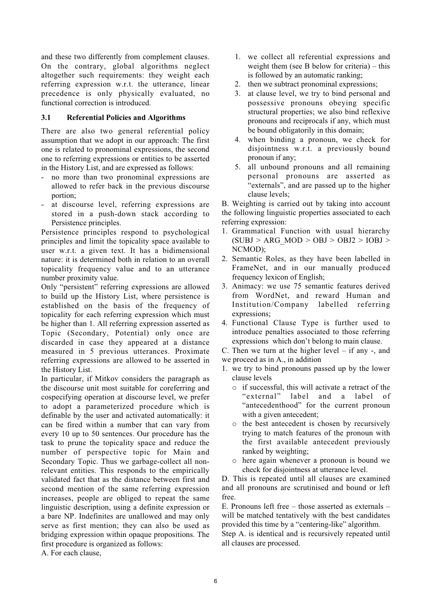and these two differently from complement clauses. On the contrary, global algorithms neglect altogether such requirements: they weight each referring expression w.r.t. the utterance, linear precedence is only physically evaluated, no functional correction is introduced.

#### 3.1 Referential Policies and Algorithms

There are also two general referential policy assumption that we adopt in our approach: The first one is related to pronominal expressions, the second one to referring expressions or entities to be asserted in the History List, and are expressed as follows:

- no more than two pronominal expressions are allowed to refer back in the previous discourse portion;
- at discourse level, referring expressions are stored in a push-down stack according to Persistence principles.

Persistence principles respond to psychological principles and limit the topicality space available to user w.r.t. a given text. It has a bidimensional nature: it is determined both in relation to an overall topicality frequency value and to an utterance number proximity value.

Only "persistent" referring expressions are allowed to build up the History List, where persistence is established on the basis of the frequency of topicality for each referring expression which must be higher than 1. All referring expression asserted as Topic (Secondary, Potential) only once are discarded in case they appeared at a distance measured in 5 previous utterances. Proximate referring expressions are allowed to be asserted in the History List.

In particular, if Mitkov considers the paragraph as the discourse unit most suitable for coreferring and cospecifying operation at discourse level, we prefer to adopt a parameterized procedure which is definable by the user and activated automatically: it can be fired within a number that can vary from every 10 up to 50 sentences. Our procedure has the task to prune the topicality space and reduce the number of perspective topic for Main and Secondary Topic. Thus we garbage-collect all nonrelevant entities. This responds to the empirically validated fact that as the distance between first and second mention of the same referring expression increases, people are obliged to repeat the same linguistic description, using a definite expression or a bare NP. Indefinites are unallowed and may only serve as first mention; they can also be used as bridging expression within opaque propositions. The first procedure is organized as follows:

A. For each clause,

- 1. we collect all referential expressions and weight them (see B below for criteria) – this is followed by an automatic ranking;
- 2. then we subtract pronominal expressions;
- 3. at clause level, we try to bind personal and possessive pronouns obeying specific structural properties; we also bind reflexive pronouns and reciprocals if any, which must be bound obligatorily in this domain;
- 4. when binding a pronoun, we check for disjointness w.r.t. a previously bound pronoun if any;
- 5. all unbound pronouns and all remaining personal pronouns are asserted as "externals", and are passed up to the higher clause levels;

B. Weighting is carried out by taking into account the following linguistic properties associated to each referring expression:

- 1. Grammatical Function with usual hierarchy  $(SUBJ > ARG MOD > OBJ > OBJ2 > IOBJ >$ NCMOD);
- 2. Semantic Roles, as they have been labelled in FrameNet, and in our manually produced frequency lexicon of English;
- 3. Animacy: we use 75 semantic features derived from WordNet, and reward Human and Institution/Company labelled referring expressions;
- 4. Functional Clause Type is further used to introduce penalties associated to those referring expressions which don't belong to main clause.

C. Then we turn at the higher level  $-$  if any  $-$ , and

we proceed as in A., in addition

- 1. we try to bind pronouns passed up by the lower clause levels
	- o if successful, this will activate a retract of the "external" label and a label of "antecedenthood" for the current pronoun with a given antecedent;
	- o the best antecedent is chosen by recursively trying to match features of the pronoun with the first available antecedent previously ranked by weighting;
	- o here again whenever a pronoun is bound we check for disjointness at utterance level.

D. This is repeated until all clauses are examined and all pronouns are scrutinised and bound or left free.

E. Pronouns left free – those asserted as externals – will be matched tentatively with the best candidates provided this time by a "centering-like" algorithm.

Step A. is identical and is recursively repeated until all clauses are processed.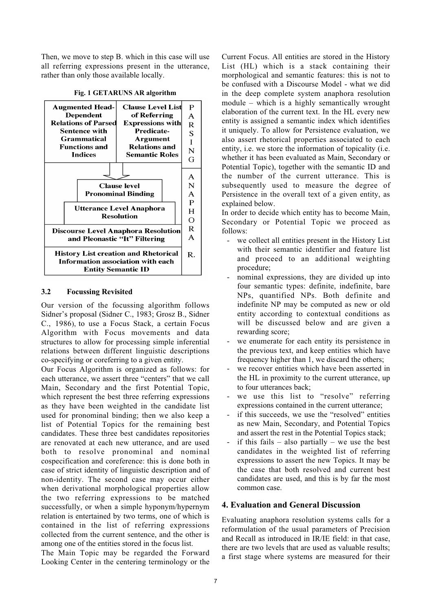Then, we move to step B. which in this case will use all referring expressions present in the utterance, rather than only those available locally.



#### Fig. 1 GETARUNS AR algorithm

#### 3.2 Focussing Revisited

Our version of the focussing algorithm follows Sidner's proposal (Sidner C., 1983; Grosz B., Sidner C., 1986), to use a Focus Stack, a certain Focus Algorithm with Focus movements and data structures to allow for processing simple inferential relations between different linguistic descriptions co-specifying or coreferring to a given entity.

Our Focus Algorithm is organized as follows: for each utterance, we assert three "centers" that we call Main, Secondary and the first Potential Topic, which represent the best three referring expressions as they have been weighted in the candidate list used for pronominal binding; then we also keep a list of Potential Topics for the remaining best candidates. These three best candidates repositories are renovated at each new utterance, and are used both to resolve pronominal and nominal cospecification and coreference: this is done both in case of strict identity of linguistic description and of non-identity. The second case may occur either when derivational morphological properties allow the two referring expressions to be matched successfully, or when a simple hyponym/hypernym relation is entertained by two terms, one of which is contained in the list of referring expressions collected from the current sentence, and the other is among one of the entities stored in the focus list.

The Main Topic may be regarded the Forward Looking Center in the centering terminology or the Current Focus. All entities are stored in the History List (HL) which is a stack containing their morphological and semantic features: this is not to be confused with a Discourse Model - what we did in the deep complete system anaphora resolution module – which is a highly semantically wrought elaboration of the current text. In the HL every new entity is assigned a semantic index which identifies it uniquely. To allow for Persistence evaluation, we also assert rhetorical properties associated to each entity, i.e. we store the information of topicality (i.e. whether it has been evaluated as Main, Secondary or Potential Topic), together with the semantic ID and the number of the current utterance. This is subsequently used to measure the degree of Persistence in the overall text of a given entity, as explained below.

In order to decide which entity has to become Main, Secondary or Potential Topic we proceed as follows:

- we collect all entities present in the History List with their semantic identifier and feature list and proceed to an additional weighting procedure;
- nominal expressions, they are divided up into four semantic types: definite, indefinite, bare NPs, quantified NPs. Both definite and indefinite NP may be computed as new or old entity according to contextual conditions as will be discussed below and are given a rewarding score;
- we enumerate for each entity its persistence in the previous text, and keep entities which have frequency higher than 1, we discard the others;
- we recover entities which have been asserted in the HL in proximity to the current utterance, up to four utterances back;
- we use this list to "resolve" referring expressions contained in the current utterance;
- if this succeeds, we use the "resolved" entities as new Main, Secondary, and Potential Topics and assert the rest in the Potential Topics stack;
- if this fails also partially we use the best candidates in the weighted list of referring expressions to assert the new Topics. It may be the case that both resolved and current best candidates are used, and this is by far the most common case.

#### 4. Evaluation and General Discussion

Evaluating anaphora resolution systems calls for a reformulation of the usual parameters of Precision and Recall as introduced in IR/IE field: in that case, there are two levels that are used as valuable results; a first stage where systems are measured for their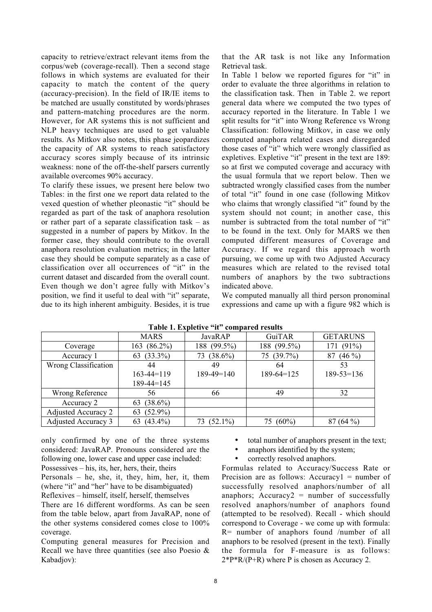capacity to retrieve/extract relevant items from the corpus/web (coverage-recall). Then a second stage follows in which systems are evaluated for their capacity to match the content of the query (accuracy-precision). In the field of IR/IE items to be matched are usually constituted by words/phrases and pattern-matching procedures are the norm. However, for AR systems this is not sufficient and NLP heavy techniques are used to get valuable results. As Mitkov also notes, this phase jeopardizes the capacity of AR systems to reach satisfactory accuracy scores simply because of its intrinsic weakness: none of the off-the-shelf parsers currently available overcomes 90% accuracy.

To clarify these issues, we present here below two Tables: in the first one we report data related to the vexed question of whether pleonastic "it" should be regarded as part of the task of anaphora resolution or rather part of a separate classification task – as suggested in a number of papers by Mitkov. In the former case, they should contribute to the overall anaphora resolution evaluation metrics; in the latter case they should be compute separately as a case of classification over all occurrences of "it" in the current dataset and discarded from the overall count. Even though we don't agree fully with Mitkov's position, we find it useful to deal with "it" separate, due to its high inherent ambiguity. Besides, it is true

that the AR task is not like any Information Retrieval task.

In Table 1 below we reported figures for "it" in order to evaluate the three algorithms in relation to the classification task. Then in Table 2. we report general data where we computed the two types of accuracy reported in the literature. In Table 1 we split results for "it" into Wrong Reference vs Wrong Classification: following Mitkov, in case we only computed anaphora related cases and disregarded those cases of "it" which were wrongly classified as expletives. Expletive "it" present in the text are 189: so at first we computed coverage and accuracy with the usual formula that we report below. Then we subtracted wrongly classified cases from the number of total "it" found in one case (following Mitkov who claims that wrongly classified "it" found by the system should not count; in another case, this number is subtracted from the total number of "it" to be found in the text. Only for MARS we then computed different measures of Coverage and Accuracy. If we regard this approach worth pursuing, we come up with two Adjusted Accuracy measures which are related to the revised total numbers of anaphors by the two subtractions indicated above.

We computed manually all third person pronominal expressions and came up with a figure 982 which is

|                            | <b>MARS</b>       | JavaRAP           | GuiTAR         | <b>GETARUNS</b>  |  |  |
|----------------------------|-------------------|-------------------|----------------|------------------|--|--|
| Coverage                   | $(86.2\%)$<br>163 | 188 (99.5%)       | 188 (99.5%)    | $(91\%)$<br>171  |  |  |
| Accuracy 1                 | 63 $(33.3\%)$     | $(38.6\%)$<br>73  | 75 (39.7%)     | $(46\%)$<br>87   |  |  |
| Wrong Classification       | 44                | 49                | 64             | 53               |  |  |
|                            | 163-44=119        | $189-49=140$      | $189-64=125$   | $189 - 53 = 136$ |  |  |
|                            | $189 - 44 = 145$  |                   |                |                  |  |  |
| Wrong Reference            | 56                | 66                | 49             | 32               |  |  |
| Accuracy 2                 | $(38.6\%)$<br>63  |                   |                |                  |  |  |
| <b>Adjusted Accuracy 2</b> | $(52.9\%)$<br>63  |                   |                |                  |  |  |
| <b>Adjusted Accuracy 3</b> | $(43.4\%)$<br>63  | $(52.1\%)$<br>73. | $(60\%)$<br>75 | $(64\%)$         |  |  |

Table 1. Expletive "it" compared results

only confirmed by one of the three systems considered: JavaRAP. Pronouns considered are the following one, lower case and upper case included: Possessives – his, its, her, hers, their, theirs

Personals – he, she, it, they, him, her, it, them (where "it" and "her" have to be disambiguated) Reflexives – himself, itself, herself, themselves

There are 16 different wordforms. As can be seen from the table below, apart from JavaRAP, none of the other systems considered comes close to 100% coverage.

Computing general measures for Precision and Recall we have three quantities (see also Poesio & Kabadjov):

 $\Box$  total number of anaphors present in the text;

 $\Box$  anaphors identified by the system;

 $\Box$  correctly resolved anaphors.

Formulas related to Accuracy/Success Rate or Precision are as follows: Accuracy $1 =$  number of successfully resolved anaphors/number of all anaphors; Accuracy $2$  = number of successfully resolved anaphors/number of anaphors found (attempted to be resolved). Recall - which should correspond to Coverage - we come up with formula: R= number of anaphors found /number of all anaphors to be resolved (present in the text). Finally the formula for F-measure is as follows:  $2*P*R/(P+R)$  where P is chosen as Accuracy 2.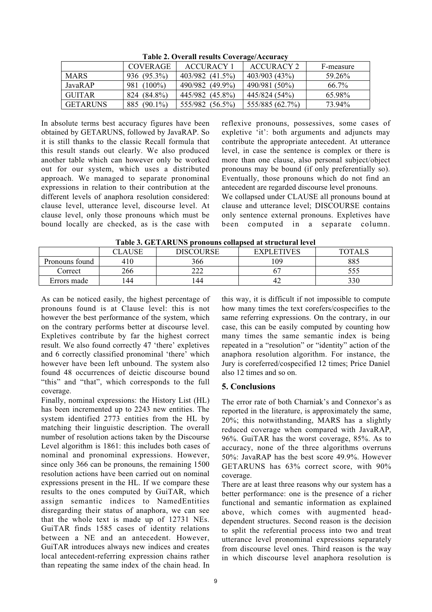|                 | COVERAGE    | <b>ACCURACY 1</b> | ACCURACY 2      | F-measure |
|-----------------|-------------|-------------------|-----------------|-----------|
| <b>MARS</b>     | 936 (95.3%) | 403/982 (41.5%)   | 403/903 (43%)   | 59.26%    |
| JavaR AP        | 981 (100%)  | 490/982 (49.9%)   | 490/981 (50%)   | $66.7\%$  |
| <b>GUITAR</b>   | 824 (84.8%) | 445/982 (45.8%)   | 445/824 (54%)   | 65.98%    |
| <b>GETARUNS</b> | 885 (90.1%) | 555/982 (56.5%)   | 555/885 (62.7%) | 73.94%    |

Table 2. Overall results Coverage/Accuracy

In absolute terms best accuracy figures have been obtained by GETARUNS, followed by JavaRAP. So it is still thanks to the classic Recall formula that this result stands out clearly. We also produced another table which can however only be worked out for our system, which uses a distributed approach. We managed to separate pronominal expressions in relation to their contribution at the different levels of anaphora resolution considered: clause level, utterance level, discourse level. At clause level, only those pronouns which must be bound locally are checked, as is the case with reflexive pronouns, possessives, some cases of expletive 'it': both arguments and adjuncts may contribute the appropriate antecedent. At utterance level, in case the sentence is complex or there is more than one clause, also personal subject/object pronouns may be bound (if only preferentially so). Eventually, those pronouns which do not find an antecedent are regarded discourse level pronouns.

We collapsed under CLAUSE all pronouns bound at clause and utterance level; DISCOURSE contains only sentence external pronouns. Expletives have been computed in a separate column.

|                | CLAUSE | <b>DISCOURSE</b> | <b>EXPLETIVES</b> | <b>TOTALS</b> |
|----------------|--------|------------------|-------------------|---------------|
| Pronouns found | 410    | 366              | 109               | 885           |
| Correct        | 266    | າາາ<br>∠∠∠       |                   | ر ر ر         |
| Errors made    | .44    | 44               | 42                | 330           |

As can be noticed easily, the highest percentage of pronouns found is at Clause level: this is not however the best performance of the system, which on the contrary performs better at discourse level. Expletives contribute by far the highest correct result. We also found correctly 47 'there' expletives and 6 correctly classified pronominal 'there' which however have been left unbound. The system also found 48 occurrences of deictic discourse bound "this" and "that", which corresponds to the full coverage.

Finally, nominal expressions: the History List (HL) has been incremented up to 2243 new entities. The system identified 2773 entities from the HL by matching their linguistic description. The overall number of resolution actions taken by the Discourse Level algorithm is 1861: this includes both cases of nominal and pronominal expressions. However, since only 366 can be pronouns, the remaining 1500 resolution actions have been carried out on nominal expressions present in the HL. If we compare these results to the ones computed by GuiTAR, which assign semantic indices to NamedEntities disregarding their status of anaphora, we can see that the whole text is made up of 12731 NEs. GuiTAR finds 1585 cases of identity relations between a NE and an antecedent. However, GuiTAR introduces always new indices and creates local antecedent-referring expression chains rather than repeating the same index of the chain head. In this way, it is difficult if not impossible to compute how many times the text corefers/cospecifies to the same referring expressions. On the contrary, in our case, this can be easily computed by counting how many times the same semantic index is being repeated in a "resolution" or "identity" action of the anaphora resolution algorithm. For instance, the Jury is coreferred/cospecified 12 times; Price Daniel also 12 times and so on.

# 5. Conclusions

The error rate of both Charniak's and Connexor's as reported in the literature, is approximately the same, 20%; this notwithstanding, MARS has a slightly reduced coverage when compared with JavaRAP, 96%. GuiTAR has the worst coverage, 85%. As to accuracy, none of the three algorithms overruns 50%: JavaRAP has the best score 49.9%. However GETARUNS has 63% correct score, with 90% coverage.

There are at least three reasons why our system has a better performance: one is the presence of a richer functional and semantic information as explained above, which comes with augmented headdependent structures. Second reason is the decision to split the referential process into two and treat utterance level pronominal expressions separately from discourse level ones. Third reason is the way in which discourse level anaphora resolution is